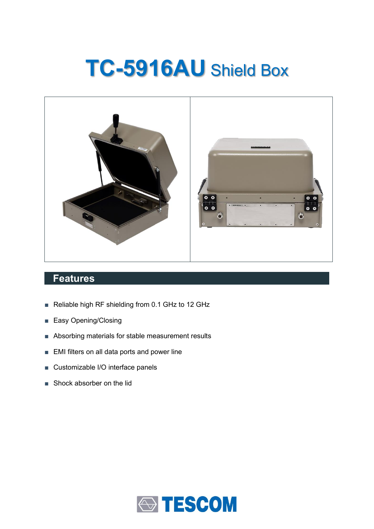# **TC-5916AU** Shield Box



## **Features**

- Reliable high RF shielding from 0.1 GHz to 12 GHz
- Easy Opening/Closing
- Absorbing materials for stable measurement results
- EMI filters on all data ports and power line
- Customizable I/O interface panels
- Shock absorber on the lid

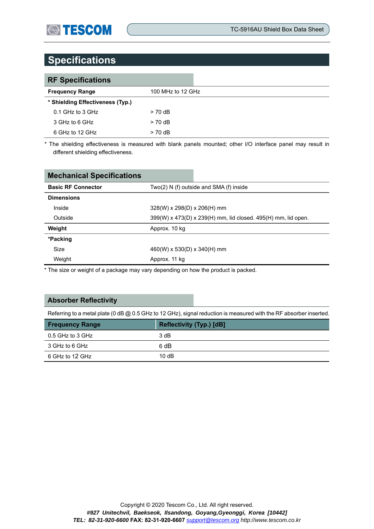# **Specifications**

| <b>RF Specifications</b>         |                   |
|----------------------------------|-------------------|
| <b>Frequency Range</b>           | 100 MHz to 12 GHz |
| * Shielding Effectiveness (Typ.) |                   |
| 0.1 GHz to 3 GHz                 | $> 70$ dB         |
| 3 GHz to 6 GHz                   | $> 70$ dB         |
| 6 GHz to 12 GHz                  | $> 70$ dB         |

\* The shielding effectiveness is measured with blank panels mounted; other I/O interface panel may result in different shielding effectiveness.

| <b>Mechanical Specifications</b> |                                                               |  |  |
|----------------------------------|---------------------------------------------------------------|--|--|
| <b>Basic RF Connector</b>        | Two(2) N (f) outside and SMA (f) inside                       |  |  |
| <b>Dimensions</b>                |                                                               |  |  |
| Inside                           | $328(W)$ x $298(D)$ x $206(H)$ mm                             |  |  |
| Outside                          | 399(W) x 473(D) x 239(H) mm, lid closed. 495(H) mm, lid open. |  |  |
| Weight                           | Approx. 10 kg                                                 |  |  |
| *Packing                         |                                                               |  |  |
| Size                             | $460(W)$ x 530(D) x 340(H) mm                                 |  |  |
| Weight                           | Approx. 11 kg                                                 |  |  |

\* The size or weight of a package may vary depending on how the product is packed.

#### **Absorber Reflectivity**

Referring to a metal plate (0 dB @ 0.5 GHz to 12 GHz), signal reduction is measured with the RF absorber inserted.

| <b>Frequency Range</b> | Reflectivity (Typ.) [dB] |
|------------------------|--------------------------|
| 0.5 GHz to 3 GHz       | 3 dB                     |
| 3 GHz to 6 GHz         | 6 dB                     |
| 6 GHz to 12 GHz        | 10dB                     |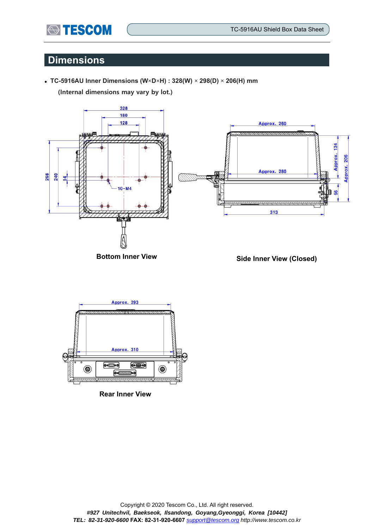# **Dimensions**

**STESCOM** 

⚫ **TC-5916AU Inner Dimensions (W×D×H) : 328(W) × 298(D) × 206(H) mm**

**(Internal dimensions may vary by lot.)**



**Bottom Inner View Side Inner View (Closed)**



**Rear Inner View**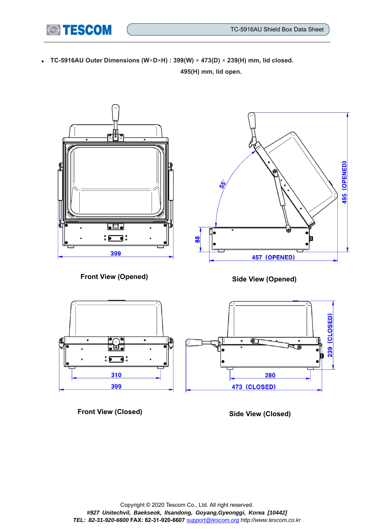⚫ **TC-5916AU Outer Dimensions (W×D×H) : 399(W) × 473(D) × 239(H) mm, lid closed. 495(H) mm, lid open.**

**STESCOM** 



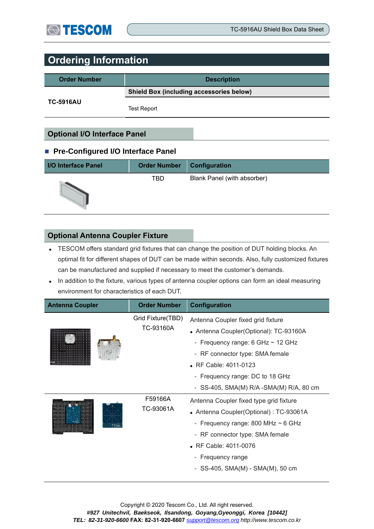# **Ordering Information**

| <b>Order Number</b> | <b>Description</b>                              |  |
|---------------------|-------------------------------------------------|--|
|                     | <b>Shield Box (including accessories below)</b> |  |
| <b>TC-5916AU</b>    | <b>Test Report</b>                              |  |

## **Optional I/O Interface Panel**

#### ■ Pre-Configured I/O Interface Panel

| <b>I/O Interface Panel</b> | <b>Order Number</b> | Configuration               |
|----------------------------|---------------------|-----------------------------|
|                            | TBD                 | Blank Panel (with absorber) |

#### **Optional Antenna Coupler Fixture**

- ⚫ TESCOM offers standard grid fixtures that can change the position of DUT holding blocks. An optimal fit for different shapes of DUT can be made within seconds. Also, fully customized fixtures can be manufactured and supplied if necessary to meet the customer's demands.
- In addition to the fixture, various types of antenna coupler options can form an ideal measuring environment for characteristics of each DUT.

| <b>Antenna Coupler</b> | <b>Order Number</b>            | Configuration                            |
|------------------------|--------------------------------|------------------------------------------|
|                        | Grid Fixture(TBD)<br>TC-93160A | Antenna Coupler fixed grid fixture       |
| . <del>.</del>         |                                | • Antenna Coupler(Optional): TC-93160A   |
|                        |                                | - Frequency range: $6$ GHz $\sim$ 12 GHz |
|                        |                                | - RF connector type: SMA female          |
|                        |                                | • RF Cable: 4011-0123                    |
|                        |                                | - Frequency range: DC to 18 GHz          |
|                        |                                | - SS-405, SMA(M) R/A -SMA(M) R/A, 80 cm  |
|                        | F59166A                        | Antenna Coupler fixed type grid fixture  |
|                        | TC-93061A                      | • Antenna Coupler(Optional): TC-93061A   |
|                        |                                | - Frequency range: 800 MHz $\sim$ 6 GHz  |
|                        |                                | - RF connector type: SMA female          |
|                        |                                | • RF Cable: 4011-0076                    |
|                        |                                | - Frequency range                        |
|                        |                                | - SS-405, SMA(M) - SMA(M), 50 cm         |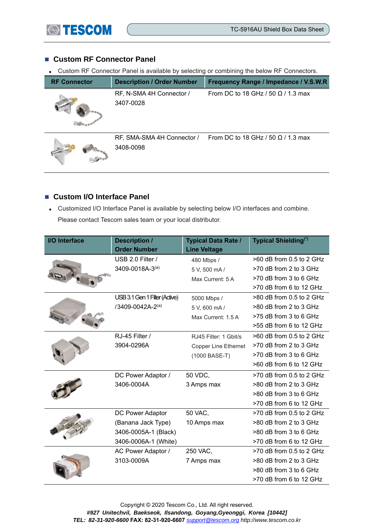

## ■ Custom RF Connector Panel

⚫ Custom RF Connector Panel is available by selecting or combining the below RF Connectors.

| <b>RF Connector</b> | <b>Description / Order Number</b>       | Frequency Range / Impedance / V.S.W.R     |
|---------------------|-----------------------------------------|-------------------------------------------|
|                     | RF, N-SMA 4H Connector /<br>3407-0028   | From DC to 18 GHz / 50 $\Omega$ / 1.3 max |
|                     | RF, SMA-SMA 4H Connector /<br>3408-0098 | From DC to 18 GHz / 50 $\Omega$ / 1.3 max |

### ■ Custom I/O Interface Panel

⚫ Customized I/O Interface Panel is available by selecting below I/O interfaces and combine. Please contact Tescom sales team or your local distributor.

| <b>I/O Interface</b> | <b>Description /</b>          | <b>Typical Data Rate /</b>  | Typical Shielding <sup>(*)</sup> |
|----------------------|-------------------------------|-----------------------------|----------------------------------|
|                      | <b>Order Number</b>           | <b>Line Veltage</b>         |                                  |
|                      | USB 2.0 Filter /              | 480 Mbps /                  | >60 dB from 0.5 to 2 GHz         |
|                      | 3409-0018A-3(a)               | 5 V, 500 mA/                | >70 dB from 2 to 3 GHz           |
|                      |                               | Max Current: 5 A            | >70 dB from 3 to 6 GHz           |
|                      |                               |                             | >70 dB from 6 to 12 GHz          |
|                      | USB 3.1 Gen 1 Filter (Active) | 5000 Mbps /                 | >80 dB from 0.5 to 2 GHz         |
|                      | /3409-0042A-2(a)              | 5 V, 600 mA /               | >80 dB from 2 to 3 GHz           |
|                      |                               | Max Current: 1.5 A          | >75 dB from 3 to 6 GHz           |
|                      |                               |                             | >55 dB from 6 to 12 GHz          |
|                      | RJ-45 Filter /                | RJ45 Filter: 1 Gbit/s       | >60 dB from 0.5 to 2 GHz         |
|                      | 3904-0296A                    | <b>Copper Line Ethernet</b> | >70 dB from 2 to 3 GHz           |
|                      |                               | (1000 BASE-T)               | >70 dB from 3 to 6 GHz           |
|                      |                               |                             | >60 dB from 6 to 12 GHz          |
|                      | DC Power Adaptor /            | 50 VDC,                     | >70 dB from 0.5 to 2 GHz         |
|                      | 3406-0004A                    | 3 Amps max                  | >80 dB from 2 to 3 GHz           |
|                      |                               |                             | >80 dB from 3 to 6 GHz           |
|                      |                               |                             | >70 dB from 6 to 12 GHz          |
|                      | DC Power Adaptor              | 50 VAC,                     | >70 dB from 0.5 to 2 GHz         |
|                      | (Banana Jack Type)            | 10 Amps max                 | >80 dB from 2 to 3 GHz           |
|                      | 3406-0005A-1 (Black)          |                             | >80 dB from 3 to 6 GHz           |
|                      | 3406-0006A-1 (White)          |                             | >70 dB from 6 to 12 GHz          |
|                      | AC Power Adaptor /            | 250 VAC,                    | >70 dB from 0.5 to 2 GHz         |
|                      | 3103-0009A                    | 7 Amps max                  | >80 dB from 2 to 3 GHz           |
|                      |                               |                             | >80 dB from 3 to 6 GHz           |
|                      |                               |                             | >70 dB from 6 to 12 GHz          |